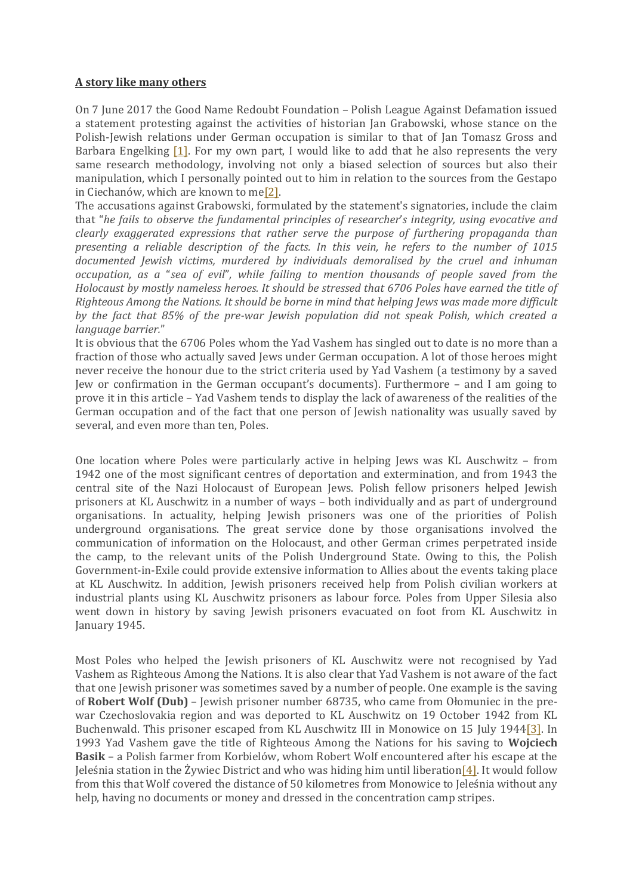## **[A story like many others](https://bohdanpietka.wordpress.com/2017/06/13/historia-jedna-z-wielu/)**

On 7 June 2017 the Good Name Redoubt Foundation – Polish League Against Defamation issued a statement protesting against the activities of historian Jan Grabowski, whose stance on the Polish-Jewish relations under German occupation is similar to that of Jan Tomasz Gross and Barbara Engelking  $[1]$ . For my own part, I would like to add that he also represents the very same research methodology, involving not only a biased selection of sources but also their manipulation, which I personally pointed out to him in relation to the sources from the Gestapo in Ciechanów, which are known to me[\[2\].](https://bohdanpietka.wordpress.com/#_ftn2)

The accusations against Grabowski, formulated by the statement's signatories, include the claim that "*he fails to observe the fundamental principles of researcher*'*s integrity, using evocative and clearly exaggerated expressions that rather serve the purpose of furthering propaganda than presenting a reliable description of the facts. In this vein, he refers to the number of 1015 documented Jewish victims, murdered by individuals demoralised by the cruel and inhuman occupation, as a* "*sea of evil*"*, while failing to mention thousands of people saved from the Holocaust by mostly nameless heroes. It should be stressed that 6706 Poles have earned the title of Righteous Among the Nations. It should be borne in mind that helping Jews was made more difficult by the fact that 85% of the pre-war Jewish population did not speak Polish, which created a language barrier.*"

It is obvious that the 6706 Poles whom the Yad Vashem has singled out to date is no more than a fraction of those who actually saved Jews under German occupation. A lot of those heroes might never receive the honour due to the strict criteria used by Yad Vashem (a testimony by a saved Jew or confirmation in the German occupant's documents). Furthermore – and I am going to prove it in this article – Yad Vashem tends to display the lack of awareness of the realities of the German occupation and of the fact that one person of Jewish nationality was usually saved by several, and even more than ten, Poles.

One location where Poles were particularly active in helping Jews was KL Auschwitz – from 1942 one of the most significant centres of deportation and extermination, and from 1943 the central site of the Nazi Holocaust of European Jews. Polish fellow prisoners helped Jewish prisoners at KL Auschwitz in a number of ways – both individually and as part of underground organisations. In actuality, helping Jewish prisoners was one of the priorities of Polish underground organisations. The great service done by those organisations involved the communication of information on the Holocaust, and other German crimes perpetrated inside the camp, to the relevant units of the Polish Underground State. Owing to this, the Polish Government-in-Exile could provide extensive information to Allies about the events taking place at KL Auschwitz. In addition, Jewish prisoners received help from Polish civilian workers at industrial plants using KL Auschwitz prisoners as labour force. Poles from Upper Silesia also went down in history by saving Jewish prisoners evacuated on foot from KL Auschwitz in January 1945.

Most Poles who helped the Jewish prisoners of KL Auschwitz were not recognised by Yad Vashem as Righteous Among the Nations. It is also clear that Yad Vashem is not aware of the fact that one Jewish prisoner was sometimes saved by a number of people. One example is the saving of **Robert Wolf (Dub)** – Jewish prisoner number 68735, who came from Ołomuniec in the prewar Czechoslovakia region and was deported to KL Auschwitz on 19 October 1942 from KL Buchenwald. This prisoner escaped from KL Auschwitz III in Monowice on 15 July 194[4\[3\].](https://bohdanpietka.wordpress.com/#_ftn3) In 1993 Yad Vashem gave the title of Righteous Among the Nations for his saving to **Wojciech Basik** – a Polish farmer from Korbielów, whom Robert Wolf encountered after his escape at the Jeleśnia station in the Żywiec District and who was hiding him until liberation  $[4]$ . It would follow from this that Wolf covered the distance of 50 kilometres from Monowice to Jeleśnia without any help, having no documents or money and dressed in the concentration camp stripes.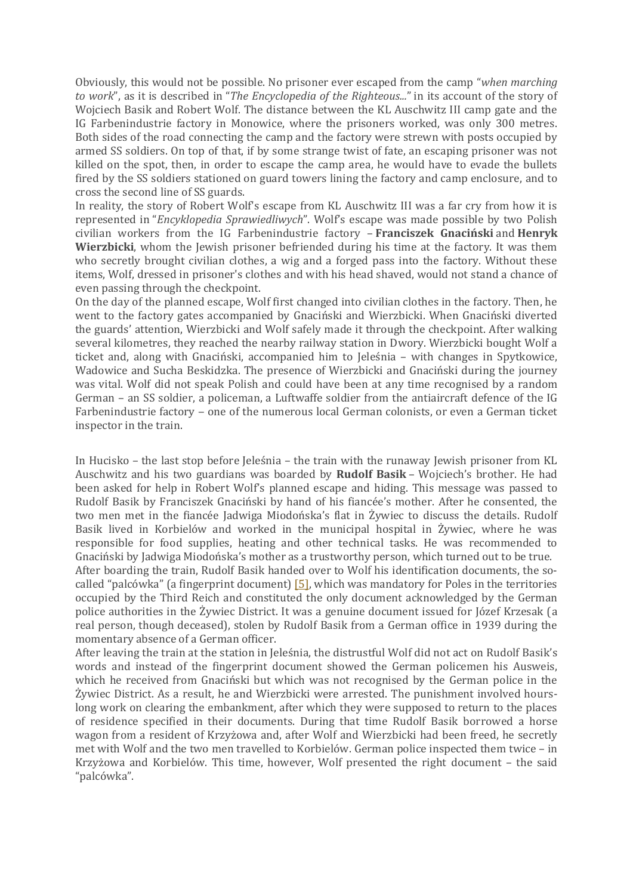Obviously, this would not be possible. No prisoner ever escaped from the camp "*when marching to work*", as it is described in "*The Encyclopedia of the Righteous...*" in its account of the story of Wojciech Basik and Robert Wolf. The distance between the KL Auschwitz III camp gate and the IG Farbenindustrie factory in Monowice, where the prisoners worked, was only 300 metres. Both sides of the road connecting the camp and the factory were strewn with posts occupied by armed SS soldiers. On top of that, if by some strange twist of fate, an escaping prisoner was not killed on the spot, then, in order to escape the camp area, he would have to evade the bullets fired by the SS soldiers stationed on guard towers lining the factory and camp enclosure, and to cross the second line of SS guards.

In reality, the story of Robert Wolf's escape from KL Auschwitz III was a far cry from how it is represented in "*Encyklopedia Sprawiedliwych*". Wolf's escape was made possible by two Polish civilian workers from the IG Farbenindustrie factory – **Franciszek Gnaciński** and **Henryk Wierzbicki**, whom the Jewish prisoner befriended during his time at the factory. It was them who secretly brought civilian clothes, a wig and a forged pass into the factory. Without these items, Wolf, dressed in prisoner's clothes and with his head shaved, would not stand a chance of even passing through the checkpoint.

On the day of the planned escape, Wolf first changed into civilian clothes in the factory. Then, he went to the factory gates accompanied by Gnaciński and Wierzbicki. When Gnaciński diverted the guards' attention, Wierzbicki and Wolf safely made it through the checkpoint. After walking several kilometres, they reached the nearby railway station in Dwory. Wierzbicki bought Wolf a ticket and, along with Gnaciński, accompanied him to Jeleśnia – with changes in Spytkowice, Wadowice and Sucha Beskidzka. The presence of Wierzbicki and Gnaciński during the journey was vital. Wolf did not speak Polish and could have been at any time recognised by a random German – an SS soldier, a policeman, a Luftwaffe soldier from the antiaircraft defence of the IG Farbenindustrie factory – one of the numerous local German colonists, or even a German ticket inspector in the train.

In Hucisko – the last stop before Jeleśnia – the train with the runaway Jewish prisoner from KL Auschwitz and his two guardians was boarded by **Rudolf Basik** – Wojciech's brother. He had been asked for help in Robert Wolf's planned escape and hiding. This message was passed to Rudolf Basik by Franciszek Gnaciński by hand of his fiancée's mother. After he consented, the two men met in the fiancée Jadwiga Miodońska's flat in Żywiec to discuss the details. Rudolf Basik lived in Korbielów and worked in the municipal hospital in Żywiec, where he was responsible for food supplies, heating and other technical tasks. He was recommended to Gnaciński by Jadwiga Miodońska's mother as a trustworthy person, which turned out to be true. After boarding the train, Rudolf Basik handed over to Wolf his identification documents, the socalled "palcówka" (a fingerprint document)  $[5]$ , which was mandatory for Poles in the territories occupied by the Third Reich and constituted the only document acknowledged by the German police authorities in the Żywiec District. It was a genuine document issued for Józef Krzesak (a real person, though deceased), stolen by Rudolf Basik from a German office in 1939 during the momentary absence of a German officer.

After leaving the train at the station in Jeleśnia, the distrustful Wolf did not act on Rudolf Basik's words and instead of the fingerprint document showed the German policemen his Ausweis, which he received from Gnaciński but which was not recognised by the German police in the Żywiec District. As a result, he and Wierzbicki were arrested. The punishment involved hourslong work on clearing the embankment, after which they were supposed to return to the places of residence specified in their documents. During that time Rudolf Basik borrowed a horse wagon from a resident of Krzyżowa and, after Wolf and Wierzbicki had been freed, he secretly met with Wolf and the two men travelled to Korbielów. German police inspected them twice – in Krzyżowa and Korbielów. This time, however, Wolf presented the right document – the said "palcówka".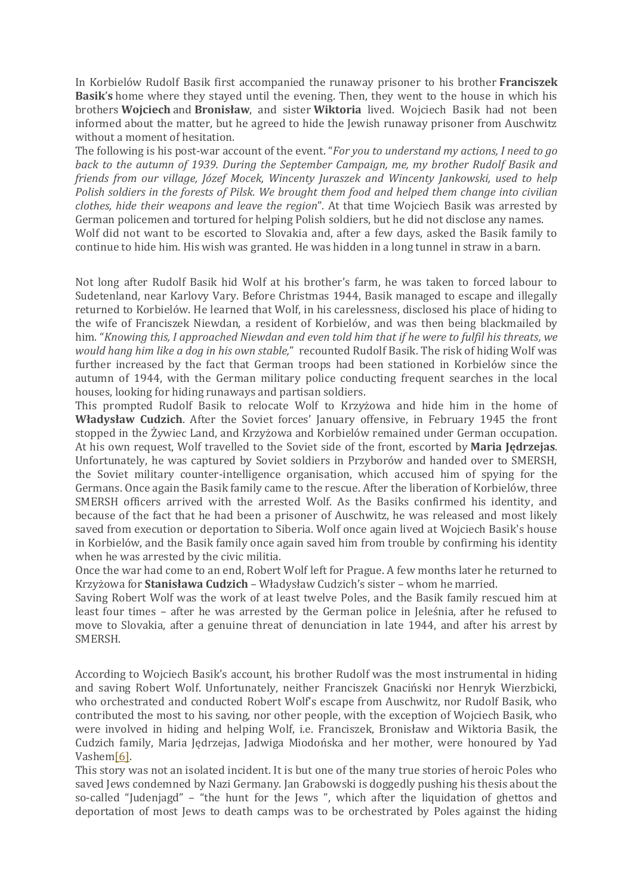In Korbielów Rudolf Basik first accompanied the runaway prisoner to his brother **Franciszek Basik**'**s** home where they stayed until the evening. Then, they went to the house in which his brothers **Wojciech** and **Bronisław**, and sister **Wiktoria** lived. Wojciech Basik had not been informed about the matter, but he agreed to hide the Jewish runaway prisoner from Auschwitz without a moment of hesitation.

The following is his post-war account of the event. "*For you to understand my actions, I need to go back to the autumn of 1939. During the September Campaign, me, my brother Rudolf Basik and friends from our village, Józef Mocek, Wincenty Juraszek and Wincenty Jankowski, used to help Polish soldiers in the forests of Pilsk. We brought them food and helped them change into civilian clothes, hide their weapons and leave the region*". At that time Wojciech Basik was arrested by German policemen and tortured for helping Polish soldiers, but he did not disclose any names. Wolf did not want to be escorted to Slovakia and, after a few days, asked the Basik family to continue to hide him. His wish was granted. He was hidden in a long tunnel in straw in a barn.

Not long after Rudolf Basik hid Wolf at his brother's farm, he was taken to forced labour to Sudetenland, near Karlovy Vary. Before Christmas 1944, Basik managed to escape and illegally returned to Korbielów. He learned that Wolf, in his carelessness, disclosed his place of hiding to the wife of Franciszek Niewdan, a resident of Korbielów, and was then being blackmailed by him. "*Knowing this, I approached Niewdan and even told him that if he were to fulfil his threats, we would hang him like a dog in his own stable,*" recounted Rudolf Basik. The risk of hiding Wolf was further increased by the fact that German troops had been stationed in Korbielów since the autumn of 1944, with the German military police conducting frequent searches in the local houses, looking for hiding runaways and partisan soldiers.

This prompted Rudolf Basik to relocate Wolf to Krzyżowa and hide him in the home of **Władysław Cudzich**. After the Soviet forces' January offensive, in February 1945 the front stopped in the Żywiec Land, and Krzyżowa and Korbielów remained under German occupation. At his own request, Wolf travelled to the Soviet side of the front, escorted by **Maria Jędrzejas**. Unfortunately, he was captured by Soviet soldiers in Przyborów and handed over to SMERSH, the Soviet military counter-intelligence organisation, which accused him of spying for the Germans. Once again the Basik family came to the rescue. After the liberation of Korbielów, three SMERSH officers arrived with the arrested Wolf. As the Basiks confirmed his identity, and because of the fact that he had been a prisoner of Auschwitz, he was released and most likely saved from execution or deportation to Siberia. Wolf once again lived at Wojciech Basik's house in Korbielów, and the Basik family once again saved him from trouble by confirming his identity when he was arrested by the civic militia.

Once the war had come to an end, Robert Wolf left for Prague. A few months later he returned to Krzyżowa for **Stanisława Cudzich** – Władysław Cudzich's sister – whom he married.

Saving Robert Wolf was the work of at least twelve Poles, and the Basik family rescued him at least four times – after he was arrested by the German police in Jeleśnia, after he refused to move to Slovakia, after a genuine threat of denunciation in late 1944, and after his arrest by SMERSH.

According to Wojciech Basik's account, his brother Rudolf was the most instrumental in hiding and saving Robert Wolf. Unfortunately, neither Franciszek Gnaciński nor Henryk Wierzbicki, who orchestrated and conducted Robert Wolf's escape from Auschwitz, nor Rudolf Basik, who contributed the most to his saving, nor other people, with the exception of Wojciech Basik, who were involved in hiding and helping Wolf, i.e. Franciszek, Bronisław and Wiktoria Basik, the Cudzich family, Maria Jędrzejas, Jadwiga Miodońska and her mother, were honoured by Yad Vashe[m\[6\].](https://bohdanpietka.wordpress.com/#_ftn6)

This story was not an isolated incident. It is but one of the many true stories of heroic Poles who saved Jews condemned by Nazi Germany. Jan Grabowski is doggedly pushing his thesis about the so-called "Judenjagd" – "the hunt for the Jews ", which after the liquidation of ghettos and deportation of most Jews to death camps was to be orchestrated by Poles against the hiding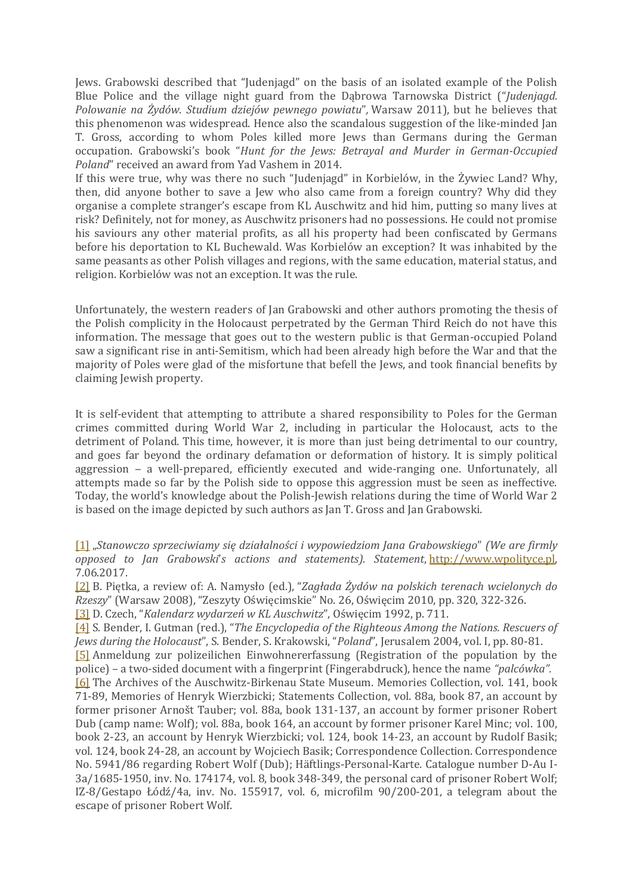Jews. Grabowski described that "Judenjagd" on the basis of an isolated example of the Polish Blue Police and the village night guard from the Dąbrowa Tarnowska District ("*Judenjagd. Polowanie na Żydów. Studium dziejów pewnego powiatu*"*,* Warsaw 2011), but he believes that this phenomenon was widespread. Hence also the scandalous suggestion of the like-minded Jan T. Gross, according to whom Poles killed more Jews than Germans during the German occupation. Grabowski's book "*Hunt for the Jews: Betrayal and Murder in German-Occupied Poland*" received an award from Yad Vashem in 2014.

If this were true, why was there no such "Judenjagd" in Korbielów, in the Żywiec Land? Why, then, did anyone bother to save a Jew who also came from a foreign country? Why did they organise a complete stranger's escape from KL Auschwitz and hid him, putting so many lives at risk? Definitely, not for money, as Auschwitz prisoners had no possessions. He could not promise his saviours any other material profits, as all his property had been confiscated by Germans before his deportation to KL Buchewald. Was Korbielów an exception? It was inhabited by the same peasants as other Polish villages and regions, with the same education, material status, and religion. Korbielów was not an exception. It was the rule.

Unfortunately, the western readers of Jan Grabowski and other authors promoting the thesis of the Polish complicity in the Holocaust perpetrated by the German Third Reich do not have this information. The message that goes out to the western public is that German-occupied Poland saw a significant rise in anti-Semitism, which had been already high before the War and that the majority of Poles were glad of the misfortune that befell the Jews, and took financial benefits by claiming Jewish property.

It is self-evident that attempting to attribute a shared responsibility to Poles for the German crimes committed during World War 2, including in particular the Holocaust, acts to the detriment of Poland. This time, however, it is more than just being detrimental to our country, and goes far beyond the ordinary defamation or deformation of history. It is simply political aggression - a well-prepared, efficiently executed and wide-ranging one. Unfortunately, all attempts made so far by the Polish side to oppose this aggression must be seen as ineffective. Today, the world's knowledge about the Polish-Jewish relations during the time of World War 2 is based on the image depicted by such authors as Jan T. Gross and Jan Grabowski.

[\[1\]](https://bohdanpietka.wordpress.com/#_ftnref1) "*Stanowczo sprzeciwiamy się działalności i wypowiedziom Jana Grabowskiego*" *(We are firmly opposed to Jan Grabowski*'*s actions and statements). Statement*, [http://www.wpolityce.pl,](http://www.wpolityce.pl/) 7.06.2017.

[\[2\]](https://bohdanpietka.wordpress.com/#_ftnref2) B. Piętka, a review of: A. Namysło (ed.), "*Zagłada Żydów na polskich terenach wcielonych do Rzeszy*" (Warsaw 2008), "Zeszyty Oświęcimskie" No. 26, Oświęcim 2010, pp. 320, 322-326.

[\[3\]](https://bohdanpietka.wordpress.com/#_ftnref3) D. Czech, "*Kalendarz wydarzeń w KL Auschwitz*", Oświęcim 1992, p. 711.

[\[4\]](https://bohdanpietka.wordpress.com/#_ftnref4) S. Bender, I. Gutman (red.), "*The Encyclopedia of the Righteous Among the Nations. Rescuers of Jews during the Holocaust*", S. Bender, S. Krakowski, "*Poland*", Jerusalem 2004, vol. I, pp. 80-81. [\[5\]](https://bohdanpietka.wordpress.com/#_ftnref5) Anmeldung zur polizeilichen Einwohnererfassung (Registration of the population by the police) – a two-sided document with a fingerprint (Fingerabdruck), hence the name *"palcówka".* [\[6\]](https://bohdanpietka.wordpress.com/#_ftnref6) The Archives of the Auschwitz-Birkenau State Museum. Memories Collection, vol. 141, book 71-89, Memories of Henryk Wierzbicki; Statements Collection, vol. 88a, book 87, an account by former prisoner Arnošt Tauber; vol. 88a, book 131-137, an account by former prisoner Robert Dub (camp name: Wolf); vol. 88a, book 164, an account by former prisoner Karel Minc; vol. 100, book 2-23, an account by Henryk Wierzbicki; vol. 124, book 14-23, an account by Rudolf Basik; vol. 124, book 24-28, an account by Wojciech Basik; Correspondence Collection. Correspondence No. 5941/86 regarding Robert Wolf (Dub); Häftlings-Personal-Karte. Catalogue number D-Au I-3a/1685-1950, inv. No. 174174, vol. 8, book 348-349, the personal card of prisoner Robert Wolf; IZ-8/Gestapo Łódź/4a, inv. No. 155917, vol. 6, microfilm 90/200-201, a telegram about the escape of prisoner Robert Wolf.